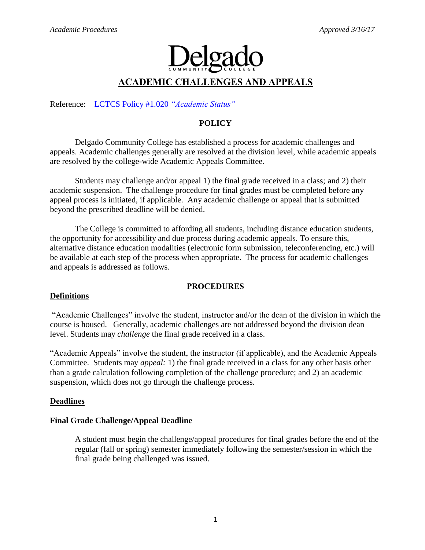# $|o_2|$

## **ACADEMIC CHALLENGES AND APPEALS**

Reference: [LCTCS Policy #1.020](http://www.lctcs.edu/assets/policies/1.020.pdf) *"Academic Status"*

## **POLICY**

Delgado Community College has established a process for academic challenges and appeals. Academic challenges generally are resolved at the division level, while academic appeals are resolved by the college-wide Academic Appeals Committee.

Students may challenge and/or appeal 1) the final grade received in a class; and 2) their academic suspension. The challenge procedure for final grades must be completed before any appeal process is initiated, if applicable. Any academic challenge or appeal that is submitted beyond the prescribed deadline will be denied.

The College is committed to affording all students, including distance education students, the opportunity for accessibility and due process during academic appeals. To ensure this, alternative distance education modalities (electronic form submission, teleconferencing, etc.) will be available at each step of the process when appropriate. The process for academic challenges and appeals is addressed as follows.

### **PROCEDURES**

### **Definitions**

"Academic Challenges" involve the student, instructor and/or the dean of the division in which the course is housed. Generally, academic challenges are not addressed beyond the division dean level. Students may *challenge* the final grade received in a class.

"Academic Appeals" involve the student, the instructor (if applicable), and the Academic Appeals Committee. Students may *appeal:* 1) the final grade received in a class for any other basis other than a grade calculation following completion of the challenge procedure; and 2) an academic suspension, which does not go through the challenge process.

### **Deadlines**

### **Final Grade Challenge/Appeal Deadline**

A student must begin the challenge/appeal procedures for final grades before the end of the regular (fall or spring) semester immediately following the semester/session in which the final grade being challenged was issued.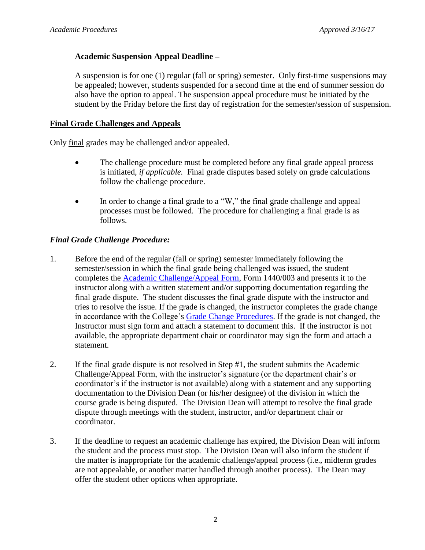## **Academic Suspension Appeal Deadline –**

A suspension is for one (1) regular (fall or spring) semester. Only first-time suspensions may be appealed; however, students suspended for a second time at the end of summer session do also have the option to appeal. The suspension appeal procedure must be initiated by the student by the Friday before the first day of registration for the semester/session of suspension.

## **Final Grade Challenges and Appeals**

Only final grades may be challenged and/or appealed.

- The challenge procedure must be completed before any final grade appeal process is initiated, *if applicable.* Final grade disputes based solely on grade calculations follow the challenge procedure.
- In order to change a final grade to a "W," the final grade challenge and appeal processes must be followed. The procedure for challenging a final grade is as follows.

## *Final Grade Challenge Procedure:*

- 1. Before the end of the regular (fall or spring) semester immediately following the semester/session in which the final grade being challenged was issued, the student completes the [Academic Challenge/Appeal Form,](http://docushare3.dcc.edu/docushare/dsweb/Get/Document-2750/1440-003.doc) Form 1440/003 and presents it to the instructor along with a written statement and/or supporting documentation regarding the final grade dispute. The student discusses the final grade dispute with the instructor and tries to resolve the issue. If the grade is changed, the instructor completes the grade change in accordance with the College's [Grade Change Procedures.](http://docushare3.dcc.edu/docushare/dsweb/Get/Document-2784/Academic+Procedures-Grade+Changes.doc) If the grade is not changed, the Instructor must sign form and attach a statement to document this. If the instructor is not available, the appropriate department chair or coordinator may sign the form and attach a statement.
- 2. If the final grade dispute is not resolved in Step #1, the student submits the Academic Challenge/Appeal Form, with the instructor's signature (or the department chair's or coordinator's if the instructor is not available) along with a statement and any supporting documentation to the Division Dean (or his/her designee) of the division in which the course grade is being disputed. The Division Dean will attempt to resolve the final grade dispute through meetings with the student, instructor, and/or department chair or coordinator.
- 3. If the deadline to request an academic challenge has expired, the Division Dean will inform the student and the process must stop. The Division Dean will also inform the student if the matter is inappropriate for the academic challenge/appeal process (i.e., midterm grades are not appealable, or another matter handled through another process). The Dean may offer the student other options when appropriate.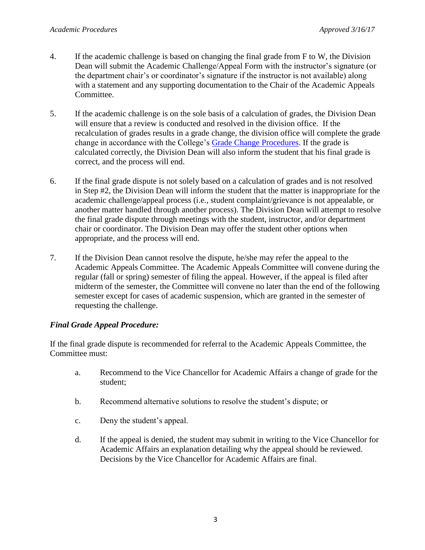- 4. If the academic challenge is based on changing the final grade from F to W, the Division Dean will submit the Academic Challenge/Appeal Form with the instructor's signature (or the department chair's or coordinator's signature if the instructor is not available) along with a statement and any supporting documentation to the Chair of the Academic Appeals Committee.
- 5. If the academic challenge is on the sole basis of a calculation of grades, the Division Dean will ensure that a review is conducted and resolved in the division office. If the recalculation of grades results in a grade change, the division office will complete the grade change in accordance with the College's [Grade Change Procedures.](http://docushare3.dcc.edu/docushare/dsweb/Get/Document-2784/Academic+Procedures-Grade+Changes.doc) If the grade is calculated correctly, the Division Dean will also inform the student that his final grade is correct, and the process will end.
- 6. If the final grade dispute is not solely based on a calculation of grades and is not resolved in Step #2, the Division Dean will inform the student that the matter is inappropriate for the academic challenge/appeal process (i.e., student complaint/grievance is not appealable, or another matter handled through another process). The Division Dean will attempt to resolve the final grade dispute through meetings with the student, instructor, and/or department chair or coordinator. The Division Dean may offer the student other options when appropriate, and the process will end.
- 7. If the Division Dean cannot resolve the dispute, he/she may refer the appeal to the Academic Appeals Committee. The Academic Appeals Committee will convene during the regular (fall or spring) semester of filing the appeal. However, if the appeal is filed after midterm of the semester, the Committee will convene no later than the end of the following semester except for cases of academic suspension, which are granted in the semester of requesting the challenge.

## *Final Grade Appeal Procedure:*

If the final grade dispute is recommended for referral to the Academic Appeals Committee, the Committee must:

- a. Recommend to the Vice Chancellor for Academic Affairs a change of grade for the student;
- b. Recommend alternative solutions to resolve the student's dispute; or
- c. Deny the student's appeal.
- d. If the appeal is denied, the student may submit in writing to the Vice Chancellor for Academic Affairs an explanation detailing why the appeal should be reviewed. Decisions by the Vice Chancellor for Academic Affairs are final.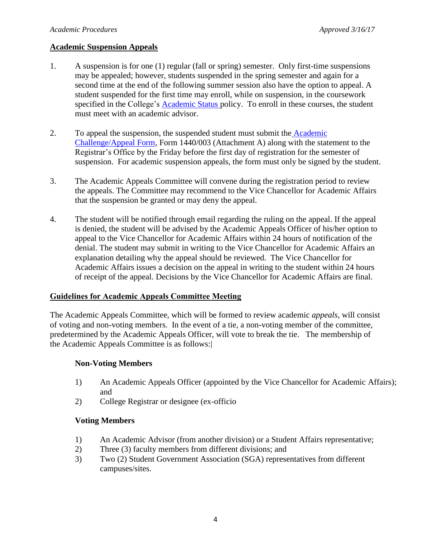## **Academic Suspension Appeals**

- 1. A suspension is for one (1) regular (fall or spring) semester. Only first-time suspensions may be appealed; however, students suspended in the spring semester and again for a second time at the end of the following summer session also have the option to appeal. A student suspended for the first time may enroll, while on suspension, in the coursework specified in the College's [Academic Status p](http://docushare3.dcc.edu/docushare/dsweb/Get/Document-2785/Academic+Procedures-Academic+Status-+AA+Council+Approved+Changes+April+2008.pdf)olicy. To enroll in these courses, the student must meet with an academic advisor.
- 2. To appeal the suspension, the suspended student must submit the [Academic](http://docushare3.dcc.edu/docushare/dsweb/Get/Document-2750/1440-003.doc)  [Challenge/Appeal Form,](http://docushare3.dcc.edu/docushare/dsweb/Get/Document-2750/1440-003.doc) Form 1440/003 (Attachment A) along with the statement to the Registrar's Office by the Friday before the first day of registration for the semester of suspension.For academic suspension appeals, the form must only be signed by the student.
- 3. The Academic Appeals Committee will convene during the registration period to review the appeals. The Committee may recommend to the Vice Chancellor for Academic Affairs that the suspension be granted or may deny the appeal.
- 4. The student will be notified through email regarding the ruling on the appeal. If the appeal is denied, the student will be advised by the Academic Appeals Officer of his/her option to appeal to the Vice Chancellor for Academic Affairs within 24 hours of notification of the denial. The student may submit in writing to the Vice Chancellor for Academic Affairs an explanation detailing why the appeal should be reviewed. The Vice Chancellor for Academic Affairs issues a decision on the appeal in writing to the student within 24 hours of receipt of the appeal. Decisions by the Vice Chancellor for Academic Affairs are final.

### **Guidelines for Academic Appeals Committee Meeting**

The Academic Appeals Committee, which will be formed to review academic *appeals*, will consist of voting and non-voting members. In the event of a tie, a non-voting member of the committee, predetermined by the Academic Appeals Officer, will vote to break the tie. The membership of the Academic Appeals Committee is as follows:|

### **Non-Voting Members**

- 1) An Academic Appeals Officer (appointed by the Vice Chancellor for Academic Affairs); and
- 2) College Registrar or designee (ex-officio

## **Voting Members**

- 1) An Academic Advisor (from another division) or a Student Affairs representative;
- 2) Three (3) faculty members from different divisions; and
- 3) Two (2) Student Government Association (SGA) representatives from different campuses/sites.